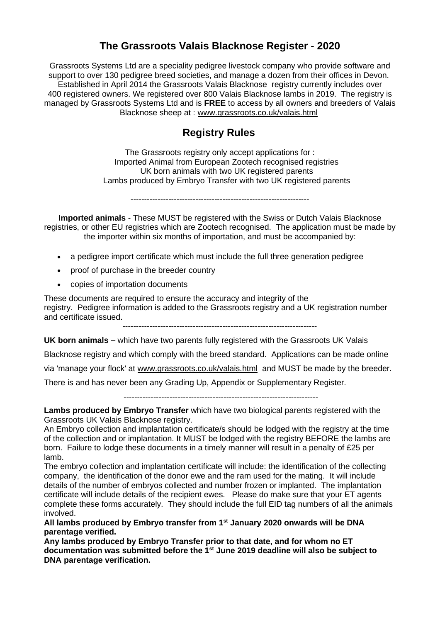### **The Grassroots Valais Blacknose Register - 2020**

Grassroots Systems Ltd are a speciality pedigree livestock company who provide software and support to over 130 pedigree breed societies, and manage a dozen from their offices in Devon. Established in April 2014 the Grassroots Valais Blacknose registry currently includes over 400 registered owners. We registered over 800 Valais Blacknose lambs in 2019. The registry is managed by Grassroots Systems Ltd and is **FREE** to access by all owners and breeders of Valais Blacknose sheep at : [www.grassroots.co.uk/valais.html](https://grassroots.us7.list-manage.com/track/click?u=5a16aaaf2f98c0168bcf16a14&id=f627355206&e=87a0668f53)

# **Registry Rules**

The Grassroots registry only accept applications for : Imported Animal from European Zootech recognised registries UK born animals with two UK registered parents Lambs produced by Embryo Transfer with two UK registered parents

------------------------------------------------------------------

**Imported animals** - These MUST be registered with the Swiss or Dutch Valais Blacknose registries, or other EU registries which are Zootech recognised. The application must be made by the importer within six months of importation, and must be accompanied by:

- a pedigree import certificate which must include the full three generation pedigree
- proof of purchase in the breeder country
- copies of importation documents

These documents are required to ensure the accuracy and integrity of the registry. Pedigree information is added to the Grassroots registry and a UK registration number and certificate issued.

 $-$ 

**UK born animals –** which have two parents fully registered with the Grassroots UK Valais

Blacknose registry and which comply with the breed standard. Applications can be made online

via 'manage your flock' at [www.grassroots.co.uk/valais.html](https://grassroots.us7.list-manage.com/track/click?u=5a16aaaf2f98c0168bcf16a14&id=66a8a2892f&e=87a0668f53) and MUST be made by the breeder.

There is and has never been any Grading Up, Appendix or Supplementary Register.

------------------------------------------------------------------------

**Lambs produced by Embryo Transfer** which have two biological parents registered with the Grassroots UK Valais Blacknose registry.

An Embryo collection and implantation certificate/s should be lodged with the registry at the time of the collection and or implantation. It MUST be lodged with the registry BEFORE the lambs are born. Failure to lodge these documents in a timely manner will result in a penalty of £25 per lamb.

The embryo collection and implantation certificate will include: the identification of the collecting company, the identification of the donor ewe and the ram used for the mating. It will include details of the number of embryos collected and number frozen or implanted. The implantation certificate will include details of the recipient ewes. Please do make sure that your ET agents complete these forms accurately. They should include the full EID tag numbers of all the animals involved.

**All lambs produced by Embryo transfer from 1st January 2020 onwards will be DNA parentage verified.** 

**Any lambs produced by Embryo Transfer prior to that date, and for whom no ET documentation was submitted before the 1st June 2019 deadline will also be subject to DNA parentage verification.**